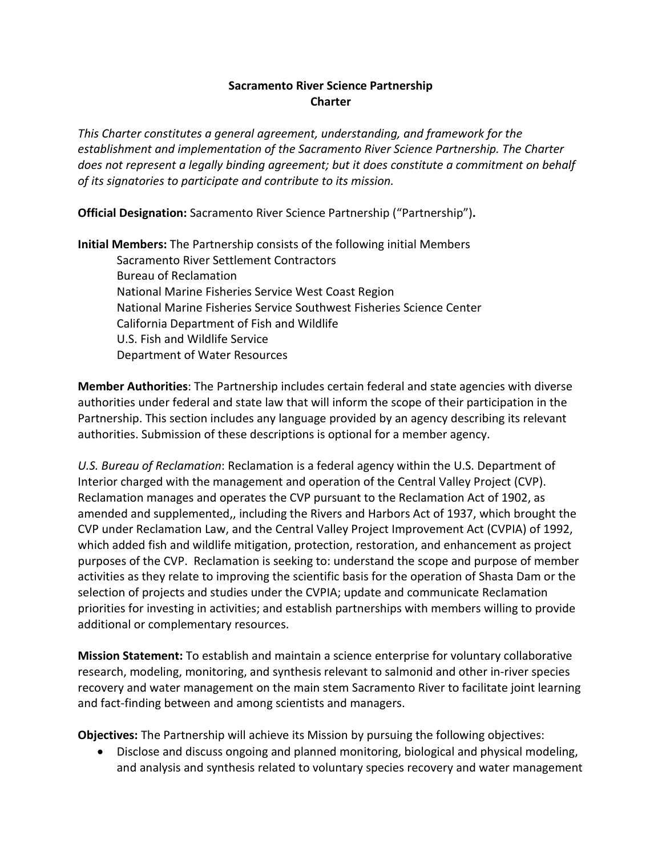## **Sacramento River Science Partnership Charter**

*This Charter constitutes a general agreement, understanding, and framework for the establishment and implementation of the Sacramento River Science Partnership. The Charter does not represent a legally binding agreement; but it does constitute a commitment on behalf of its signatories to participate and contribute to its mission.* 

**Official Designation:** Sacramento River Science Partnership ("Partnership")**.**

**Initial Members:** The Partnership consists of the following initial Members Sacramento River Settlement Contractors Bureau of Reclamation National Marine Fisheries Service West Coast Region National Marine Fisheries Service Southwest Fisheries Science Center California Department of Fish and Wildlife U.S. Fish and Wildlife Service Department of Water Resources

**Member Authorities**: The Partnership includes certain federal and state agencies with diverse authorities under federal and state law that will inform the scope of their participation in the Partnership. This section includes any language provided by an agency describing its relevant authorities. Submission of these descriptions is optional for a member agency.

*U.S. Bureau of Reclamation*: Reclamation is a federal agency within the U.S. Department of Interior charged with the management and operation of the Central Valley Project (CVP). Reclamation manages and operates the CVP pursuant to the Reclamation Act of 1902, as amended and supplemented,, including the Rivers and Harbors Act of 1937, which brought the CVP under Reclamation Law, and the Central Valley Project Improvement Act (CVPIA) of 1992, which added fish and wildlife mitigation, protection, restoration, and enhancement as project purposes of the CVP. Reclamation is seeking to: understand the scope and purpose of member activities as they relate to improving the scientific basis for the operation of Shasta Dam or the selection of projects and studies under the CVPIA; update and communicate Reclamation priorities for investing in activities; and establish partnerships with members willing to provide additional or complementary resources.

**Mission Statement:** To establish and maintain a science enterprise for voluntary collaborative research, modeling, monitoring, and synthesis relevant to salmonid and other in-river species recovery and water management on the main stem Sacramento River to facilitate joint learning and fact-finding between and among scientists and managers.

**Objectives:** The Partnership will achieve its Mission by pursuing the following objectives:

• Disclose and discuss ongoing and planned monitoring, biological and physical modeling, and analysis and synthesis related to voluntary species recovery and water management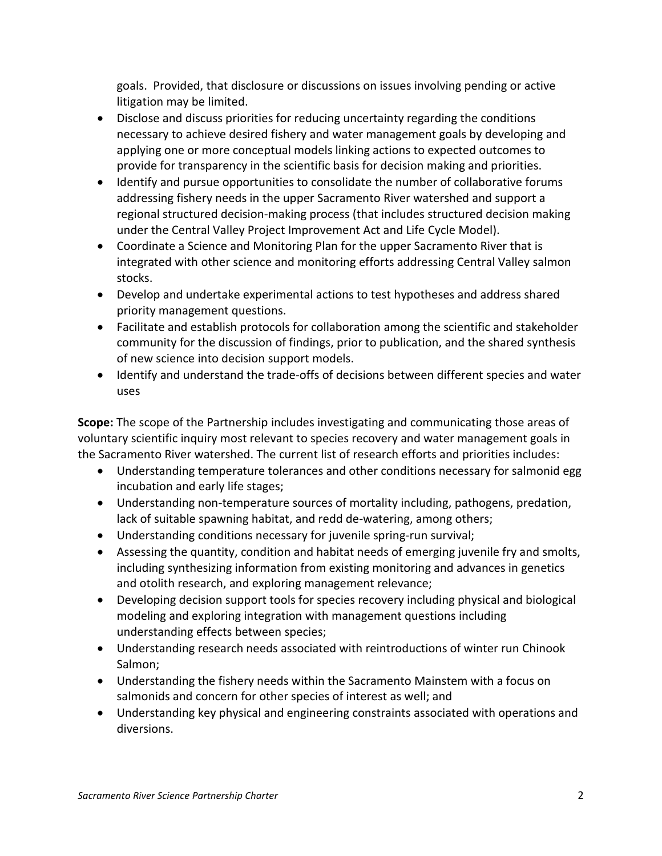goals. Provided, that disclosure or discussions on issues involving pending or active litigation may be limited.

- Disclose and discuss priorities for reducing uncertainty regarding the conditions necessary to achieve desired fishery and water management goals by developing and applying one or more conceptual models linking actions to expected outcomes to provide for transparency in the scientific basis for decision making and priorities.
- Identify and pursue opportunities to consolidate the number of collaborative forums addressing fishery needs in the upper Sacramento River watershed and support a regional structured decision-making process (that includes structured decision making under the Central Valley Project Improvement Act and Life Cycle Model).
- Coordinate a Science and Monitoring Plan for the upper Sacramento River that is integrated with other science and monitoring efforts addressing Central Valley salmon stocks.
- Develop and undertake experimental actions to test hypotheses and address shared priority management questions.
- Facilitate and establish protocols for collaboration among the scientific and stakeholder community for the discussion of findings, prior to publication, and the shared synthesis of new science into decision support models.
- Identify and understand the trade-offs of decisions between different species and water uses

**Scope:** The scope of the Partnership includes investigating and communicating those areas of voluntary scientific inquiry most relevant to species recovery and water management goals in the Sacramento River watershed. The current list of research efforts and priorities includes:

- Understanding temperature tolerances and other conditions necessary for salmonid egg incubation and early life stages;
- Understanding non-temperature sources of mortality including, pathogens, predation, lack of suitable spawning habitat, and redd de-watering, among others;
- Understanding conditions necessary for juvenile spring-run survival;
- Assessing the quantity, condition and habitat needs of emerging juvenile fry and smolts, including synthesizing information from existing monitoring and advances in genetics and otolith research, and exploring management relevance;
- Developing decision support tools for species recovery including physical and biological modeling and exploring integration with management questions including understanding effects between species;
- Understanding research needs associated with reintroductions of winter run Chinook Salmon;
- Understanding the fishery needs within the Sacramento Mainstem with a focus on salmonids and concern for other species of interest as well; and
- Understanding key physical and engineering constraints associated with operations and diversions.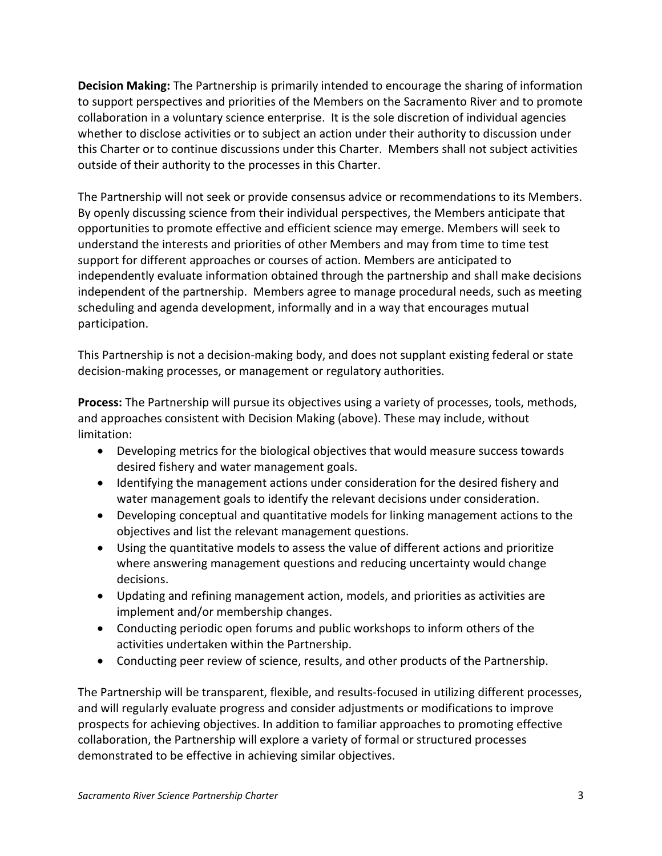**Decision Making:** The Partnership is primarily intended to encourage the sharing of information to support perspectives and priorities of the Members on the Sacramento River and to promote collaboration in a voluntary science enterprise. It is the sole discretion of individual agencies whether to disclose activities or to subject an action under their authority to discussion under this Charter or to continue discussions under this Charter. Members shall not subject activities outside of their authority to the processes in this Charter.

The Partnership will not seek or provide consensus advice or recommendations to its Members. By openly discussing science from their individual perspectives, the Members anticipate that opportunities to promote effective and efficient science may emerge. Members will seek to understand the interests and priorities of other Members and may from time to time test support for different approaches or courses of action. Members are anticipated to independently evaluate information obtained through the partnership and shall make decisions independent of the partnership. Members agree to manage procedural needs, such as meeting scheduling and agenda development, informally and in a way that encourages mutual participation.

This Partnership is not a decision-making body, and does not supplant existing federal or state decision-making processes, or management or regulatory authorities.

**Process:** The Partnership will pursue its objectives using a variety of processes, tools, methods, and approaches consistent with Decision Making (above). These may include, without limitation:

- Developing metrics for the biological objectives that would measure success towards desired fishery and water management goals.
- Identifying the management actions under consideration for the desired fishery and water management goals to identify the relevant decisions under consideration.
- Developing conceptual and quantitative models for linking management actions to the objectives and list the relevant management questions.
- Using the quantitative models to assess the value of different actions and prioritize where answering management questions and reducing uncertainty would change decisions.
- Updating and refining management action, models, and priorities as activities are implement and/or membership changes.
- Conducting periodic open forums and public workshops to inform others of the activities undertaken within the Partnership.
- Conducting peer review of science, results, and other products of the Partnership.

The Partnership will be transparent, flexible, and results-focused in utilizing different processes, and will regularly evaluate progress and consider adjustments or modifications to improve prospects for achieving objectives. In addition to familiar approaches to promoting effective collaboration, the Partnership will explore a variety of formal or structured processes demonstrated to be effective in achieving similar objectives.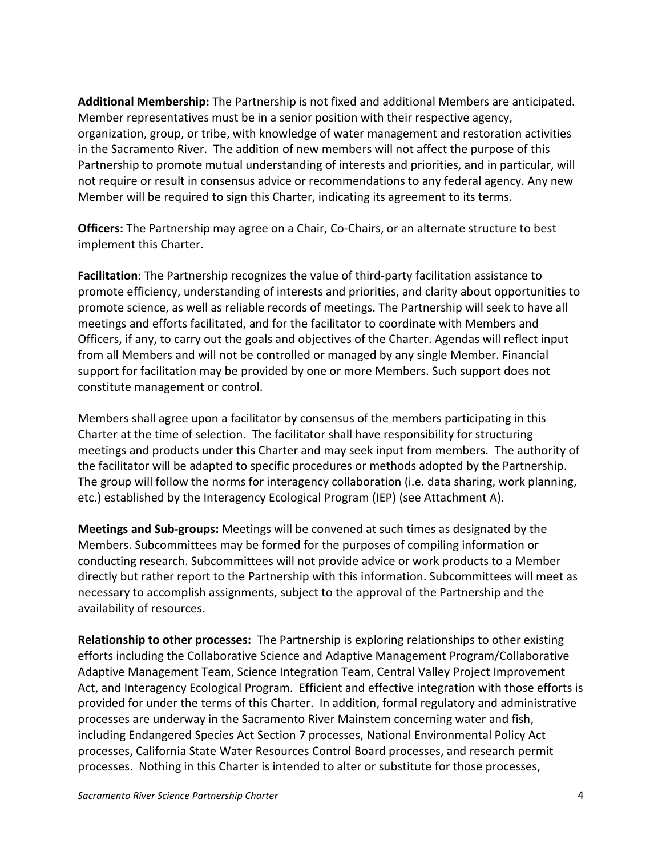**Additional Membership:** The Partnership is not fixed and additional Members are anticipated. Member representatives must be in a senior position with their respective agency, organization, group, or tribe, with knowledge of water management and restoration activities in the Sacramento River. The addition of new members will not affect the purpose of this Partnership to promote mutual understanding of interests and priorities, and in particular, will not require or result in consensus advice or recommendations to any federal agency. Any new Member will be required to sign this Charter, indicating its agreement to its terms.

**Officers:** The Partnership may agree on a Chair, Co-Chairs, or an alternate structure to best implement this Charter.

**Facilitation**: The Partnership recognizes the value of third-party facilitation assistance to promote efficiency, understanding of interests and priorities, and clarity about opportunities to promote science, as well as reliable records of meetings. The Partnership will seek to have all meetings and efforts facilitated, and for the facilitator to coordinate with Members and Officers, if any, to carry out the goals and objectives of the Charter. Agendas will reflect input from all Members and will not be controlled or managed by any single Member. Financial support for facilitation may be provided by one or more Members. Such support does not constitute management or control.

Members shall agree upon a facilitator by consensus of the members participating in this Charter at the time of selection. The facilitator shall have responsibility for structuring meetings and products under this Charter and may seek input from members. The authority of the facilitator will be adapted to specific procedures or methods adopted by the Partnership. The group will follow the norms for interagency collaboration (i.e. data sharing, work planning, etc.) established by the Interagency Ecological Program (IEP) (see Attachment A).

**Meetings and Sub-groups:** Meetings will be convened at such times as designated by the Members. Subcommittees may be formed for the purposes of compiling information or conducting research. Subcommittees will not provide advice or work products to a Member directly but rather report to the Partnership with this information. Subcommittees will meet as necessary to accomplish assignments, subject to the approval of the Partnership and the availability of resources.

**Relationship to other processes:** The Partnership is exploring relationships to other existing efforts including the Collaborative Science and Adaptive Management Program/Collaborative Adaptive Management Team, Science Integration Team, Central Valley Project Improvement Act, and Interagency Ecological Program. Efficient and effective integration with those efforts is provided for under the terms of this Charter. In addition, formal regulatory and administrative processes are underway in the Sacramento River Mainstem concerning water and fish, including Endangered Species Act Section 7 processes, National Environmental Policy Act processes, California State Water Resources Control Board processes, and research permit processes. Nothing in this Charter is intended to alter or substitute for those processes,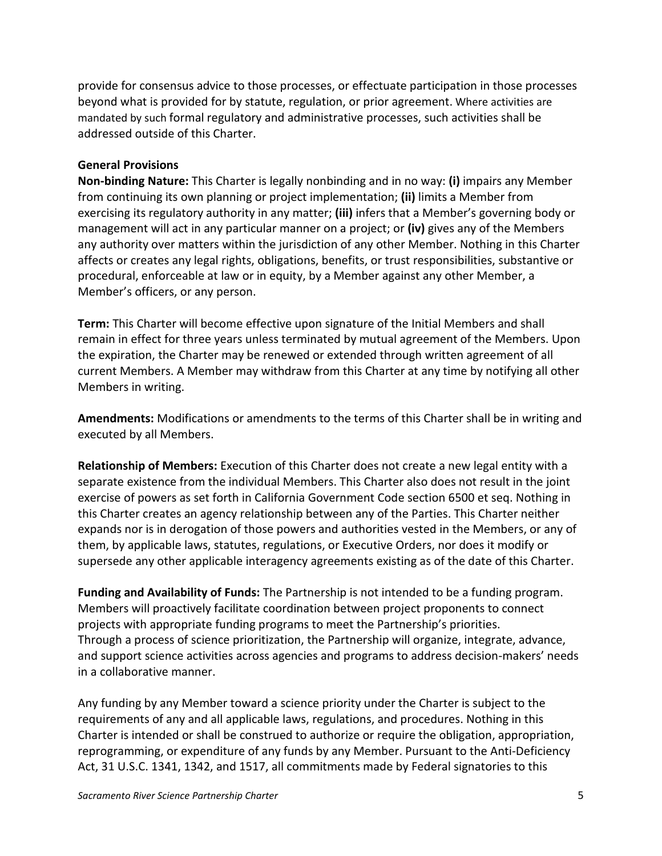provide for consensus advice to those processes, or effectuate participation in those processes beyond what is provided for by statute, regulation, or prior agreement. Where activities are mandated by such formal regulatory and administrative processes, such activities shall be addressed outside of this Charter.

#### **General Provisions**

**Non-binding Nature:** This Charter is legally nonbinding and in no way: **(i)** impairs any Member from continuing its own planning or project implementation; **(ii)** limits a Member from exercising its regulatory authority in any matter; **(iii)** infers that a Member's governing body or management will act in any particular manner on a project; or **(iv)** gives any of the Members any authority over matters within the jurisdiction of any other Member. Nothing in this Charter affects or creates any legal rights, obligations, benefits, or trust responsibilities, substantive or procedural, enforceable at law or in equity, by a Member against any other Member, a Member's officers, or any person.

**Term:** This Charter will become effective upon signature of the Initial Members and shall remain in effect for three years unless terminated by mutual agreement of the Members. Upon the expiration, the Charter may be renewed or extended through written agreement of all current Members. A Member may withdraw from this Charter at any time by notifying all other Members in writing.

**Amendments:** Modifications or amendments to the terms of this Charter shall be in writing and executed by all Members.

**Relationship of Members:** Execution of this Charter does not create a new legal entity with a separate existence from the individual Members. This Charter also does not result in the joint exercise of powers as set forth in California Government Code section 6500 et seq. Nothing in this Charter creates an agency relationship between any of the Parties. This Charter neither expands nor is in derogation of those powers and authorities vested in the Members, or any of them, by applicable laws, statutes, regulations, or Executive Orders, nor does it modify or supersede any other applicable interagency agreements existing as of the date of this Charter.

**Funding and Availability of Funds:** The Partnership is not intended to be a funding program. Members will proactively facilitate coordination between project proponents to connect projects with appropriate funding programs to meet the Partnership's priorities. Through a process of science prioritization, the Partnership will organize, integrate, advance, and support science activities across agencies and programs to address decision-makers' needs in a collaborative manner.

Any funding by any Member toward a science priority under the Charter is subject to the requirements of any and all applicable laws, regulations, and procedures. Nothing in this Charter is intended or shall be construed to authorize or require the obligation, appropriation, reprogramming, or expenditure of any funds by any Member. Pursuant to the Anti-Deficiency Act, 31 U.S.C. 1341, 1342, and 1517, all commitments made by Federal signatories to this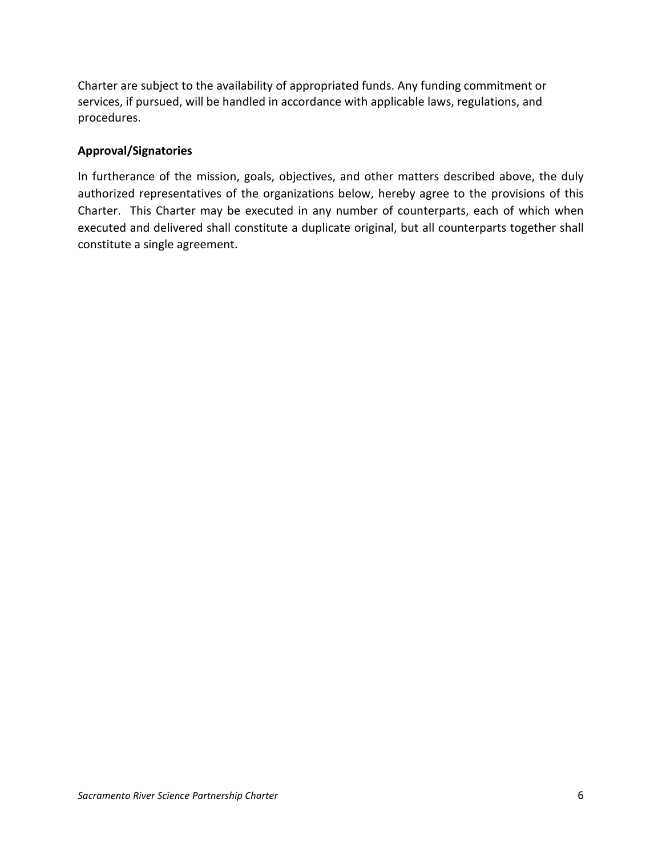Charter are subject to the availability of appropriated funds. Any funding commitment or services, if pursued, will be handled in accordance with applicable laws, regulations, and procedures.

## **Approval/Signatories**

In furtherance of the mission, goals, objectives, and other matters described above, the duly authorized representatives of the organizations below, hereby agree to the provisions of this Charter. This Charter may be executed in any number of counterparts, each of which when executed and delivered shall constitute a duplicate original, but all counterparts together shall constitute a single agreement.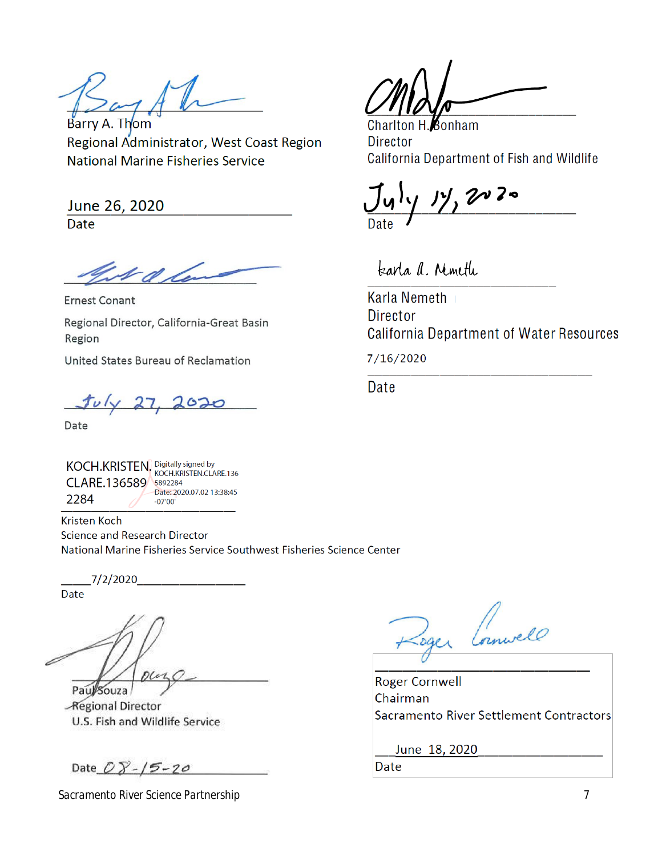Barry A. Thom Regional Administrator, West Coast Region **National Marine Fisheries Service** 

June 26, 2020 Date

**Ernest Conant** Regional Director, California-Great Basin Region

United States Bureau of Reclamation

Date

KOCH.KRISTEN. Digitally signed by<br>KOCH.KRISTEN. KOCH.KRISTEN.CLARE.136 CLARE.136589 5892284 Date: 2020.07.02 13:38:45 2284  $-07'00'$ 

Kristen Koch Science and Research Director National Marine Fisheries Service Southwest Fisheries Science Center

 $1/2/2020$ 

Date

Paul Souza

-Regional Director U.S. Fish and Wildlife Service

Date  $08 - 15 - 20$ 

*Sacramento River Science Partnership* 7

Bonham **Charlton H Director** California Department of Fish and Wildlife

tearla a. Minette

**Karla Nemeth Director California Department of Water Resources** 

7/16/2020

Date

Roger Comwell

**Roger Cornwell** Chairman Sacramento River Settlement Contractors

June 18, 2020

Date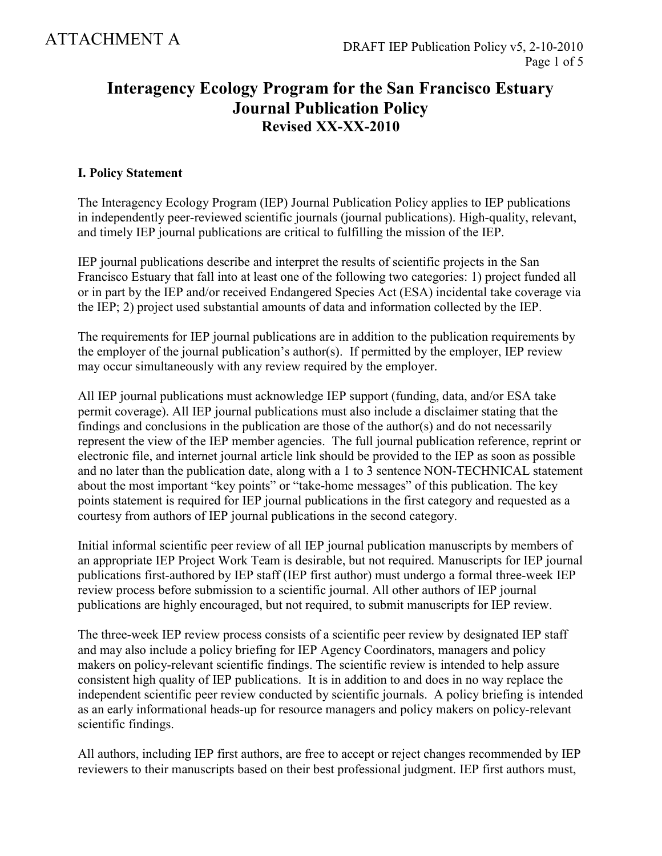# **Interagency Ecology Program for the San Francisco Estuary Journal Publication Policy Revised XX-XX-2010**

## **I. Policy Statement**

The Interagency Ecology Program (IEP) Journal Publication Policy applies to IEP publications in independently peer-reviewed scientific journals (journal publications). High-quality, relevant, and timely IEP journal publications are critical to fulfilling the mission of the IEP.

IEP journal publications describe and interpret the results of scientific projects in the San Francisco Estuary that fall into at least one of the following two categories: 1) project funded all or in part by the IEP and/or received Endangered Species Act (ESA) incidental take coverage via the IEP; 2) project used substantial amounts of data and information collected by the IEP.

The requirements for IEP journal publications are in addition to the publication requirements by the employer of the journal publication's author(s). If permitted by the employer, IEP review may occur simultaneously with any review required by the employer.

All IEP journal publications must acknowledge IEP support (funding, data, and/or ESA take permit coverage). All IEP journal publications must also include a disclaimer stating that the findings and conclusions in the publication are those of the author(s) and do not necessarily represent the view of the IEP member agencies. The full journal publication reference, reprint or electronic file, and internet journal article link should be provided to the IEP as soon as possible and no later than the publication date, along with a 1 to 3 sentence NON-TECHNICAL statement about the most important "key points" or "take-home messages" of this publication. The key points statement is required for IEP journal publications in the first category and requested as a courtesy from authors of IEP journal publications in the second category.

Initial informal scientific peer review of all IEP journal publication manuscripts by members of an appropriate IEP Project Work Team is desirable, but not required. Manuscripts for IEP journal publications first-authored by IEP staff (IEP first author) must undergo a formal three-week IEP review process before submission to a scientific journal. All other authors of IEP journal publications are highly encouraged, but not required, to submit manuscripts for IEP review.

The three-week IEP review process consists of a scientific peer review by designated IEP staff and may also include a policy briefing for IEP Agency Coordinators, managers and policy makers on policy-relevant scientific findings. The scientific review is intended to help assure consistent high quality of IEP publications. It is in addition to and does in no way replace the independent scientific peer review conducted by scientific journals. A policy briefing is intended as an early informational heads-up for resource managers and policy makers on policy-relevant scientific findings.

All authors, including IEP first authors, are free to accept or reject changes recommended by IEP reviewers to their manuscripts based on their best professional judgment. IEP first authors must,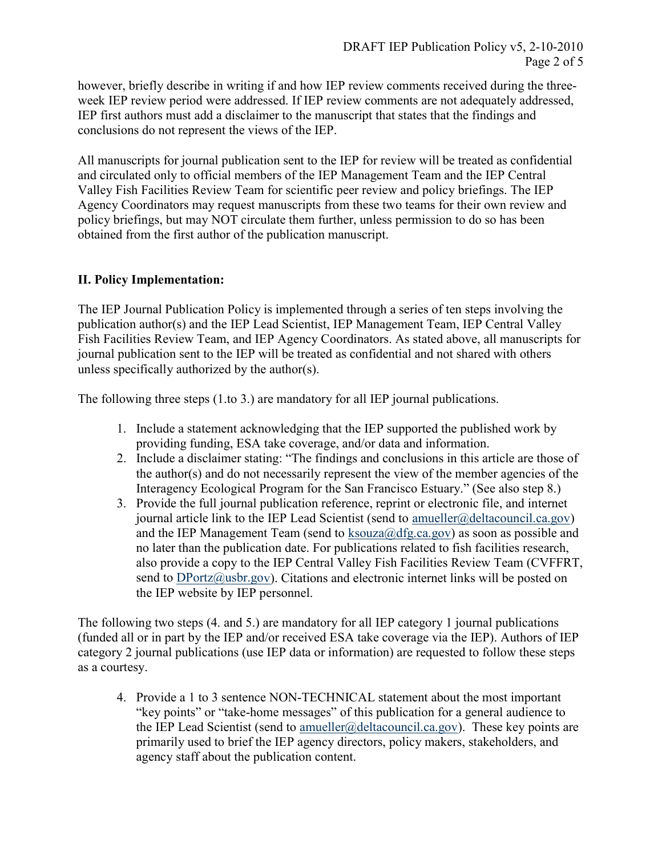however, briefly describe in writing if and how IEP review comments received during the threeweek IEP review period were addressed. If IEP review comments are not adequately addressed, IEP first authors must add a disclaimer to the manuscript that states that the findings and conclusions do not represent the views of the IEP.

All manuscripts for journal publication sent to the IEP for review will be treated as confidential and circulated only to official members of the IEP Management Team and the IEP Central Valley Fish Facilities Review Team for scientific peer review and policy briefings. The IEP Agency Coordinators may request manuscripts from these two teams for their own review and policy briefings, but may NOT circulate them further, unless permission to do so has been obtained from the first author of the publication manuscript.

# **II. Policy Implementation:**

The IEP Journal Publication Policy is implemented through a series of ten steps involving the publication author(s) and the IEP Lead Scientist, IEP Management Team, IEP Central Valley Fish Facilities Review Team, and IEP Agency Coordinators. As stated above, all manuscripts for journal publication sent to the IEP will be treated as confidential and not shared with others unless specifically authorized by the author(s).

The following three steps (1.to 3.) are mandatory for all IEP journal publications.

- 1. Include a statement acknowledging that the IEP supported the published work by providing funding, ESA take coverage, and/or data and information.
- 2. Include a disclaimer stating: "The findings and conclusions in this article are those of the author(s) and do not necessarily represent the view of the member agencies of the Interagency Ecological Program for the San Francisco Estuary." (See also step 8.)
- 3. Provide the full journal publication reference, reprint or electronic file, and internet journal article link to the IEP Lead Scientist (send to amueller@deltacouncil.ca.gov) and the IEP Management Team (send to  $ksouza@dfg.ca.gov$ ) as soon as possible and no later than the publication date. For publications related to fish facilities research, also provide a copy to the IEP Central Valley Fish Facilities Review Team (CVFFRT, send to  $DPortz(\hat{a})$ usbr.gov). Citations and electronic internet links will be posted on the IEP website by IEP personnel.

The following two steps (4. and 5.) are mandatory for all IEP category 1 journal publications (funded all or in part by the IEP and/or received ESA take coverage via the IEP). Authors of IEP category 2 journal publications (use IEP data or information) are requested to follow these steps as a courtesy.

4. Provide a 1 to 3 sentence NON-TECHNICAL statement about the most important "key points" or "take-home messages" of this publication for a general audience to the IEP Lead Scientist (send to amueller@deltacouncil.ca.gov). These key points are primarily used to brief the IEP agency directors, policy makers, stakeholders, and agency staff about the publication content.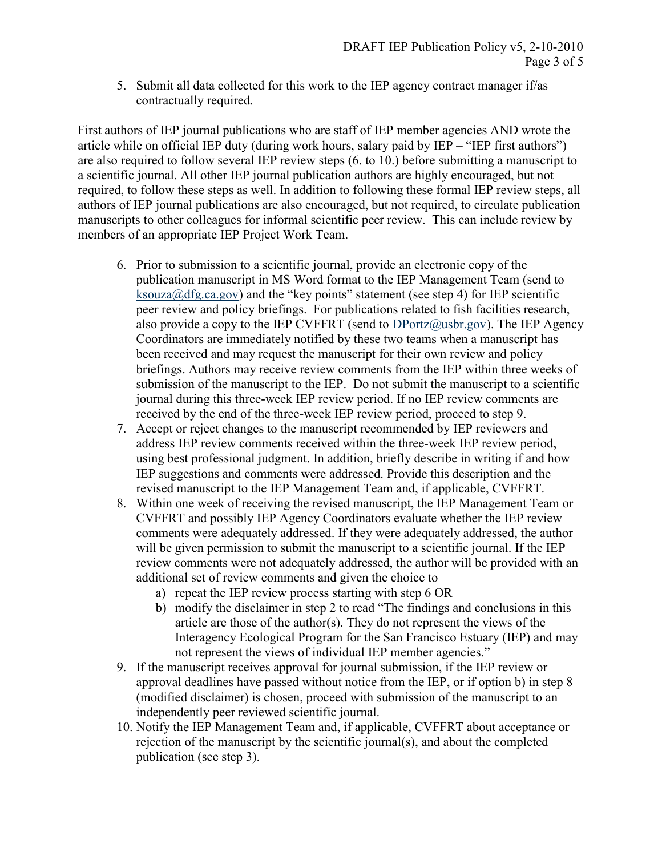5. Submit all data collected for this work to the IEP agency contract manager if/as contractually required.

First authors of IEP journal publications who are staff of IEP member agencies AND wrote the article while on official IEP duty (during work hours, salary paid by IEP – "IEP first authors") are also required to follow several IEP review steps (6. to 10.) before submitting a manuscript to a scientific journal. All other IEP journal publication authors are highly encouraged, but not required, to follow these steps as well. In addition to following these formal IEP review steps, all authors of IEP journal publications are also encouraged, but not required, to circulate publication manuscripts to other colleagues for informal scientific peer review. This can include review by members of an appropriate IEP Project Work Team.

- 6. Prior to submission to a scientific journal, provide an electronic copy of the publication manuscript in MS Word format to the IEP Management Team (send to ksouza@dfg.ca.gov) and the "key points" statement (see step 4) for IEP scientific peer review and policy briefings. For publications related to fish facilities research, also provide a copy to the IEP CVFFRT (send to  $DPortz@usbr.gov$ ). The IEP Agency Coordinators are immediately notified by these two teams when a manuscript has been received and may request the manuscript for their own review and policy briefings. Authors may receive review comments from the IEP within three weeks of submission of the manuscript to the IEP. Do not submit the manuscript to a scientific journal during this three-week IEP review period. If no IEP review comments are received by the end of the three-week IEP review period, proceed to step 9.
- 7. Accept or reject changes to the manuscript recommended by IEP reviewers and address IEP review comments received within the three-week IEP review period, using best professional judgment. In addition, briefly describe in writing if and how IEP suggestions and comments were addressed. Provide this description and the revised manuscript to the IEP Management Team and, if applicable, CVFFRT.
- 8. Within one week of receiving the revised manuscript, the IEP Management Team or CVFFRT and possibly IEP Agency Coordinators evaluate whether the IEP review comments were adequately addressed. If they were adequately addressed, the author will be given permission to submit the manuscript to a scientific journal. If the IEP review comments were not adequately addressed, the author will be provided with an additional set of review comments and given the choice to
	- a) repeat the IEP review process starting with step 6 OR
	- b) modify the disclaimer in step 2 to read "The findings and conclusions in this article are those of the author(s). They do not represent the views of the Interagency Ecological Program for the San Francisco Estuary (IEP) and may not represent the views of individual IEP member agencies."
- 9. If the manuscript receives approval for journal submission, if the IEP review or approval deadlines have passed without notice from the IEP, or if option b) in step 8 (modified disclaimer) is chosen, proceed with submission of the manuscript to an independently peer reviewed scientific journal.
- 10. Notify the IEP Management Team and, if applicable, CVFFRT about acceptance or rejection of the manuscript by the scientific journal(s), and about the completed publication (see step 3).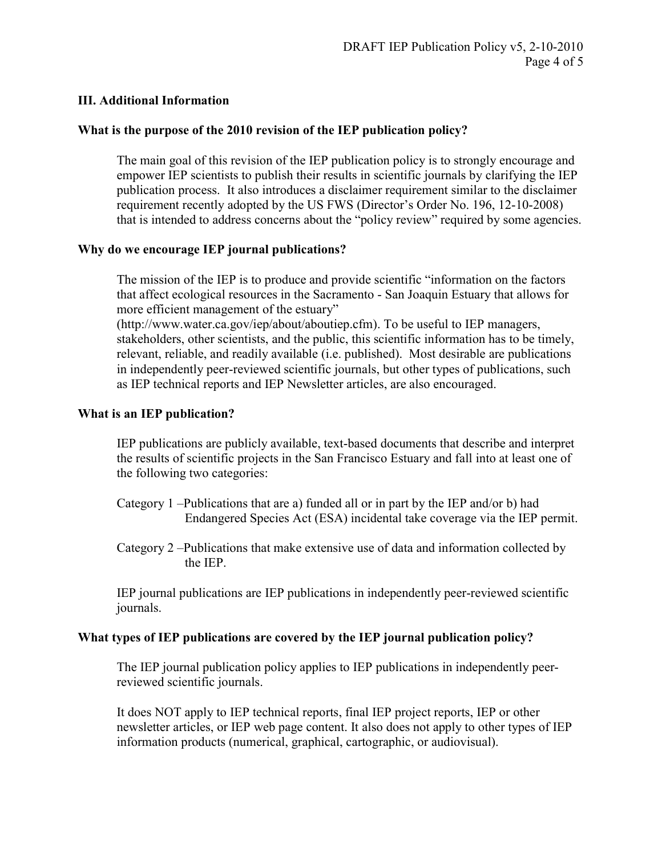#### **III. Additional Information**

#### **What is the purpose of the 2010 revision of the IEP publication policy?**

The main goal of this revision of the IEP publication policy is to strongly encourage and empower IEP scientists to publish their results in scientific journals by clarifying the IEP publication process. It also introduces a disclaimer requirement similar to the disclaimer requirement recently adopted by the US FWS (Director's Order No. 196, 12-10-2008) that is intended to address concerns about the "policy review" required by some agencies.

#### **Why do we encourage IEP journal publications?**

The mission of the IEP is to produce and provide scientific "information on the factors that affect ecological resources in the Sacramento - San Joaquin Estuary that allows for more efficient management of the estuary"

(http://www.water.ca.gov/iep/about/aboutiep.cfm). To be useful to IEP managers, stakeholders, other scientists, and the public, this scientific information has to be timely, relevant, reliable, and readily available (i.e. published). Most desirable are publications in independently peer-reviewed scientific journals, but other types of publications, such as IEP technical reports and IEP Newsletter articles, are also encouraged.

#### **What is an IEP publication?**

IEP publications are publicly available, text-based documents that describe and interpret the results of scientific projects in the San Francisco Estuary and fall into at least one of the following two categories:

- Category 1 –Publications that are a) funded all or in part by the IEP and/or b) had Endangered Species Act (ESA) incidental take coverage via the IEP permit.
- Category 2 –Publications that make extensive use of data and information collected by the IEP.

IEP journal publications are IEP publications in independently peer-reviewed scientific journals.

#### **What types of IEP publications are covered by the IEP journal publication policy?**

The IEP journal publication policy applies to IEP publications in independently peerreviewed scientific journals.

It does NOT apply to IEP technical reports, final IEP project reports, IEP or other newsletter articles, or IEP web page content. It also does not apply to other types of IEP information products (numerical, graphical, cartographic, or audiovisual).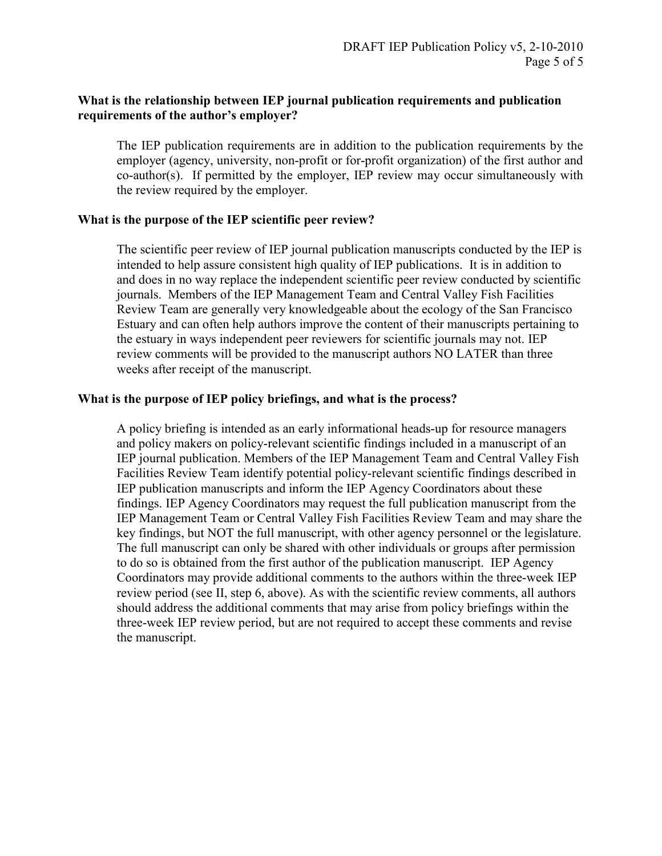## **What is the relationship between IEP journal publication requirements and publication requirements of the author's employer?**

The IEP publication requirements are in addition to the publication requirements by the employer (agency, university, non-profit or for-profit organization) of the first author and co-author(s). If permitted by the employer, IEP review may occur simultaneously with the review required by the employer.

#### **What is the purpose of the IEP scientific peer review?**

The scientific peer review of IEP journal publication manuscripts conducted by the IEP is intended to help assure consistent high quality of IEP publications. It is in addition to and does in no way replace the independent scientific peer review conducted by scientific journals. Members of the IEP Management Team and Central Valley Fish Facilities Review Team are generally very knowledgeable about the ecology of the San Francisco Estuary and can often help authors improve the content of their manuscripts pertaining to the estuary in ways independent peer reviewers for scientific journals may not. IEP review comments will be provided to the manuscript authors NO LATER than three weeks after receipt of the manuscript.

#### **What is the purpose of IEP policy briefings, and what is the process?**

A policy briefing is intended as an early informational heads-up for resource managers and policy makers on policy-relevant scientific findings included in a manuscript of an IEP journal publication. Members of the IEP Management Team and Central Valley Fish Facilities Review Team identify potential policy-relevant scientific findings described in IEP publication manuscripts and inform the IEP Agency Coordinators about these findings. IEP Agency Coordinators may request the full publication manuscript from the IEP Management Team or Central Valley Fish Facilities Review Team and may share the key findings, but NOT the full manuscript, with other agency personnel or the legislature. The full manuscript can only be shared with other individuals or groups after permission to do so is obtained from the first author of the publication manuscript. IEP Agency Coordinators may provide additional comments to the authors within the three-week IEP review period (see II, step 6, above). As with the scientific review comments, all authors should address the additional comments that may arise from policy briefings within the three-week IEP review period, but are not required to accept these comments and revise the manuscript.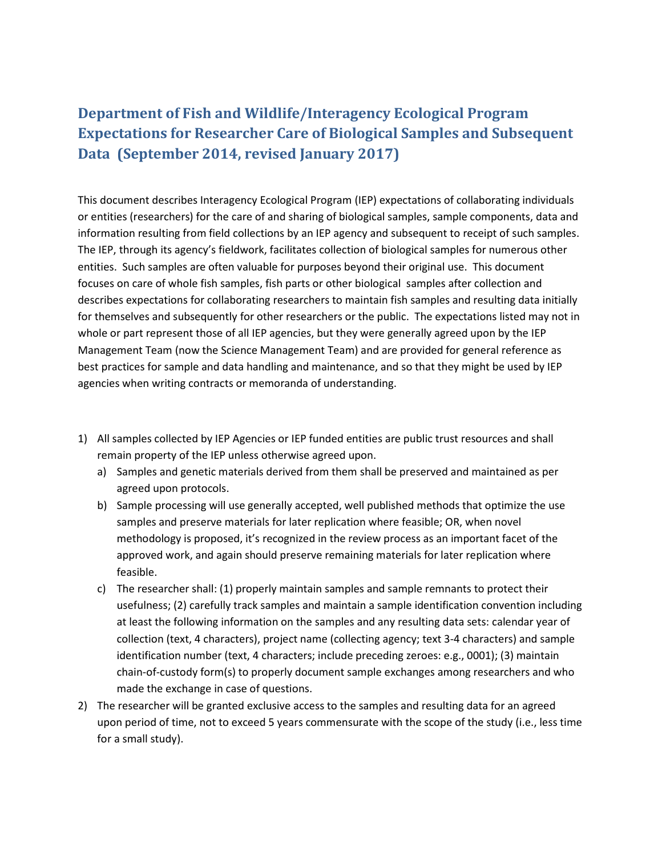# **Department of Fish and Wildlife/Interagency Ecological Program Expectations for Researcher Care of Biological Samples and Subsequent Data (September 2014, revised January 2017)**

This document describes Interagency Ecological Program (IEP) expectations of collaborating individuals or entities (researchers) for the care of and sharing of biological samples, sample components, data and information resulting from field collections by an IEP agency and subsequent to receipt of such samples. The IEP, through its agency's fieldwork, facilitates collection of biological samples for numerous other entities. Such samples are often valuable for purposes beyond their original use. This document focuses on care of whole fish samples, fish parts or other biological samples after collection and describes expectations for collaborating researchers to maintain fish samples and resulting data initially for themselves and subsequently for other researchers or the public. The expectations listed may not in whole or part represent those of all IEP agencies, but they were generally agreed upon by the IEP Management Team (now the Science Management Team) and are provided for general reference as best practices for sample and data handling and maintenance, and so that they might be used by IEP agencies when writing contracts or memoranda of understanding.

- 1) All samples collected by IEP Agencies or IEP funded entities are public trust resources and shall remain property of the IEP unless otherwise agreed upon.
	- a) Samples and genetic materials derived from them shall be preserved and maintained as per agreed upon protocols.
	- b) Sample processing will use generally accepted, well published methods that optimize the use samples and preserve materials for later replication where feasible; OR, when novel methodology is proposed, it's recognized in the review process as an important facet of the approved work, and again should preserve remaining materials for later replication where feasible.
	- c) The researcher shall: (1) properly maintain samples and sample remnants to protect their usefulness; (2) carefully track samples and maintain a sample identification convention including at least the following information on the samples and any resulting data sets: calendar year of collection (text, 4 characters), project name (collecting agency; text 3-4 characters) and sample identification number (text, 4 characters; include preceding zeroes: e.g., 0001); (3) maintain chain-of-custody form(s) to properly document sample exchanges among researchers and who made the exchange in case of questions.
- 2) The researcher will be granted exclusive access to the samples and resulting data for an agreed upon period of time, not to exceed 5 years commensurate with the scope of the study (i.e., less time for a small study).